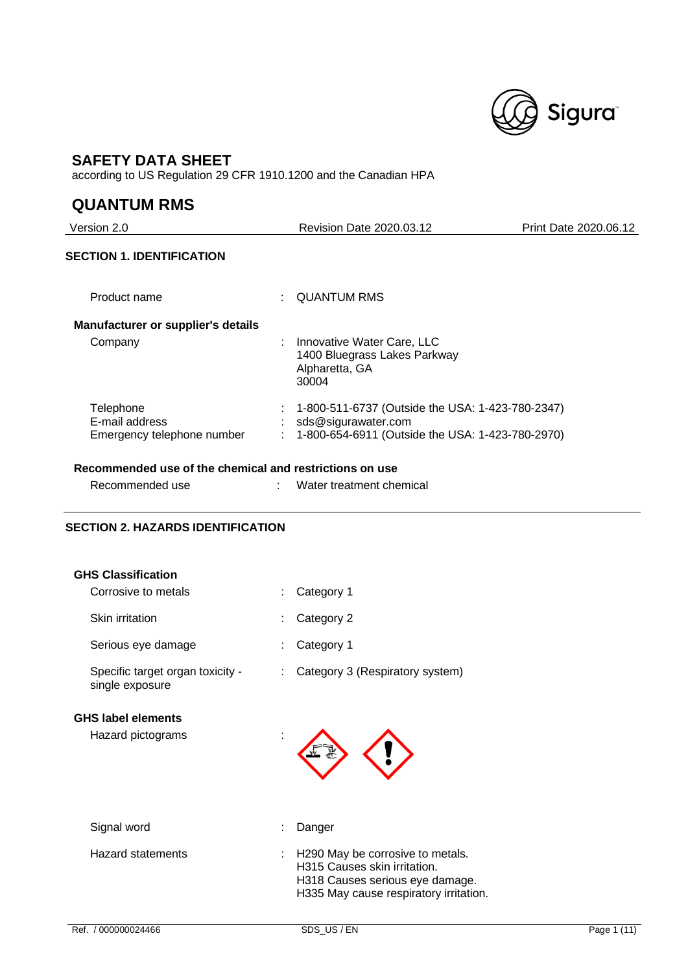

## **SAFETY DATA SHEET**

according to US Regulation 29 CFR 1910.1200 and the Canadian HPA

## **QUANTUM RMS**

Version 2.0 Revision Date 2020.03.12 Print Date 2020.06.12 **SECTION 1. IDENTIFICATION** Product name : QUANTUM RMS **Manufacturer or supplier's details** Company : Innovative Water Care, LLC 1400 Bluegrass Lakes Parkway Alpharetta, GA 30004 Telephone : 1-800-511-6737 (Outside the USA: 1-423-780-2347) E-mail address : sds@sigurawater.com Emergency telephone number : 1-800-654-6911 (Outside the USA: 1-423-780-2970)

### **Recommended use of the chemical and restrictions on use**

| Recommended use | Water treatment chemical |
|-----------------|--------------------------|
|                 |                          |

## **SECTION 2. HAZARDS IDENTIFICATION**

| <b>GHS Classification</b><br>Corrosive to metals    | Category 1                                                                                                                                      |
|-----------------------------------------------------|-------------------------------------------------------------------------------------------------------------------------------------------------|
| Skin irritation                                     | Category 2                                                                                                                                      |
| Serious eye damage                                  | Category 1                                                                                                                                      |
| Specific target organ toxicity -<br>single exposure | Category 3 (Respiratory system)                                                                                                                 |
| <b>GHS label elements</b><br>Hazard pictograms      |                                                                                                                                                 |
| Signal word                                         | Danger                                                                                                                                          |
| Hazard statements                                   | : H290 May be corrosive to metals.<br>H315 Causes skin irritation.<br>H318 Causes serious eye damage.<br>H335 May cause respiratory irritation. |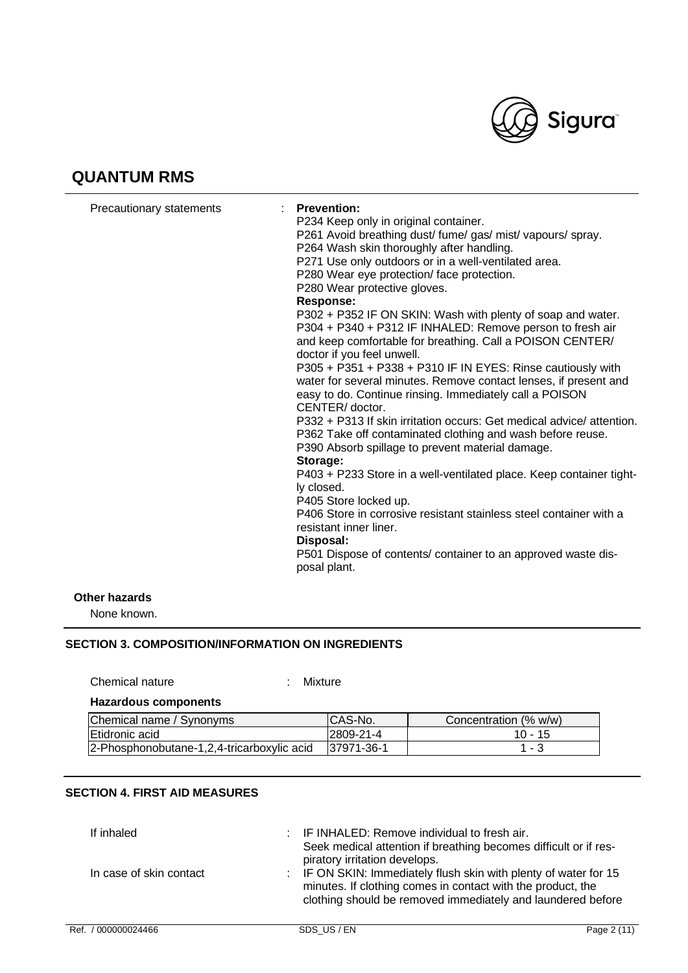

| Precautionary statements | <b>Prevention:</b><br>P234 Keep only in original container.<br>P261 Avoid breathing dust/ fume/ gas/ mist/ vapours/ spray.<br>P264 Wash skin thoroughly after handling.<br>P271 Use only outdoors or in a well-ventilated area.<br>P280 Wear eye protection/face protection.<br>P280 Wear protective gloves.<br><b>Response:</b><br>P302 + P352 IF ON SKIN: Wash with plenty of soap and water.<br>P304 + P340 + P312 IF INHALED: Remove person to fresh air<br>and keep comfortable for breathing. Call a POISON CENTER/<br>doctor if you feel unwell.<br>P305 + P351 + P338 + P310 IF IN EYES: Rinse cautiously with<br>water for several minutes. Remove contact lenses, if present and<br>easy to do. Continue rinsing. Immediately call a POISON<br>CENTER/ doctor.<br>P332 + P313 If skin irritation occurs: Get medical advice/ attention.<br>P362 Take off contaminated clothing and wash before reuse.<br>P390 Absorb spillage to prevent material damage.<br>Storage:<br>P403 + P233 Store in a well-ventilated place. Keep container tight-<br>ly closed.<br>P405 Store locked up.<br>P406 Store in corrosive resistant stainless steel container with a<br>resistant inner liner.<br>Disposal:<br>P501 Dispose of contents/ container to an approved waste dis-<br>posal plant. |
|--------------------------|---------------------------------------------------------------------------------------------------------------------------------------------------------------------------------------------------------------------------------------------------------------------------------------------------------------------------------------------------------------------------------------------------------------------------------------------------------------------------------------------------------------------------------------------------------------------------------------------------------------------------------------------------------------------------------------------------------------------------------------------------------------------------------------------------------------------------------------------------------------------------------------------------------------------------------------------------------------------------------------------------------------------------------------------------------------------------------------------------------------------------------------------------------------------------------------------------------------------------------------------------------------------------------------------|
| Other hazards            |                                                                                                                                                                                                                                                                                                                                                                                                                                                                                                                                                                                                                                                                                                                                                                                                                                                                                                                                                                                                                                                                                                                                                                                                                                                                                             |

None known.

## **SECTION 3. COMPOSITION/INFORMATION ON INGREDIENTS**

Chemical nature : Mixture

## **Hazardous components**

| Chemical name / Synonyms                   | ICAS-No.    | Concentration (% w/w) |
|--------------------------------------------|-------------|-----------------------|
| Etidronic acid                             | 2809-21-4   | $10 - 15$             |
| 2-Phosphonobutane-1,2,4-tricarboxylic acid | 137971-36-1 | 1 - 3                 |

## **SECTION 4. FIRST AID MEASURES**

| If inhaled              | : IF INHALED: Remove individual to fresh air.<br>Seek medical attention if breathing becomes difficult or if res-<br>piratory irritation develops.                                             |
|-------------------------|------------------------------------------------------------------------------------------------------------------------------------------------------------------------------------------------|
| In case of skin contact | : IF ON SKIN: Immediately flush skin with plenty of water for 15<br>minutes. If clothing comes in contact with the product, the<br>clothing should be removed immediately and laundered before |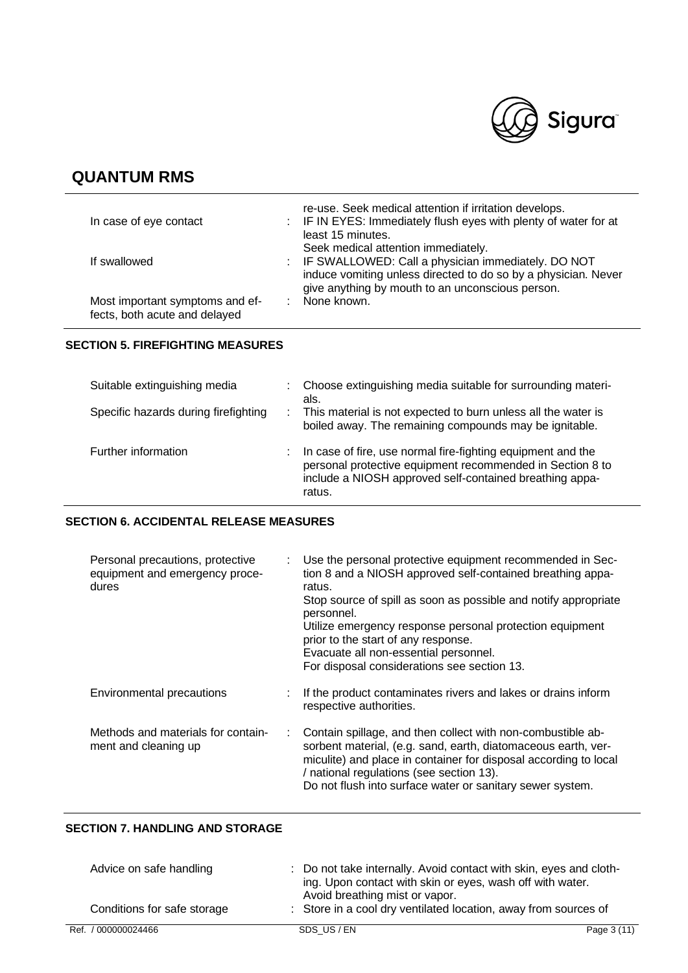

| In case of eye contact                                           | re-use. Seek medical attention if irritation develops.<br>: IF IN EYES: Immediately flush eyes with plenty of water for at<br>least 15 minutes.                                                                   |
|------------------------------------------------------------------|-------------------------------------------------------------------------------------------------------------------------------------------------------------------------------------------------------------------|
| If swallowed                                                     | Seek medical attention immediately.<br>: IF SWALLOWED: Call a physician immediately. DO NOT<br>induce vomiting unless directed to do so by a physician. Never<br>give anything by mouth to an unconscious person. |
| Most important symptoms and ef-<br>fects, both acute and delayed | None known.                                                                                                                                                                                                       |

### **SECTION 5. FIREFIGHTING MEASURES**

| Suitable extinguishing media         |    | Choose extinguishing media suitable for surrounding materi-<br>als.                                                                                                                           |
|--------------------------------------|----|-----------------------------------------------------------------------------------------------------------------------------------------------------------------------------------------------|
| Specific hazards during firefighting | ÷. | This material is not expected to burn unless all the water is<br>boiled away. The remaining compounds may be ignitable.                                                                       |
| Further information                  |    | In case of fire, use normal fire-fighting equipment and the<br>personal protective equipment recommended in Section 8 to<br>include a NIOSH approved self-contained breathing appa-<br>ratus. |

## **SECTION 6. ACCIDENTAL RELEASE MEASURES**

| Personal precautions, protective<br>equipment and emergency proce-<br>dures | Use the personal protective equipment recommended in Sec-<br>tion 8 and a NIOSH approved self-contained breathing appa-<br>ratus.<br>Stop source of spill as soon as possible and notify appropriate<br>personnel.<br>Utilize emergency response personal protection equipment<br>prior to the start of any response.<br>Evacuate all non-essential personnel.<br>For disposal considerations see section 13. |
|-----------------------------------------------------------------------------|---------------------------------------------------------------------------------------------------------------------------------------------------------------------------------------------------------------------------------------------------------------------------------------------------------------------------------------------------------------------------------------------------------------|
| Environmental precautions                                                   | If the product contaminates rivers and lakes or drains inform<br>respective authorities.                                                                                                                                                                                                                                                                                                                      |
| Methods and materials for contain-<br>ment and cleaning up                  | Contain spillage, and then collect with non-combustible ab-<br>sorbent material, (e.g. sand, earth, diatomaceous earth, ver-<br>miculite) and place in container for disposal according to local<br>/ national regulations (see section 13).<br>Do not flush into surface water or sanitary sewer system.                                                                                                     |

## **SECTION 7. HANDLING AND STORAGE**

| Advice on safe handling     | : Do not take internally. Avoid contact with skin, eyes and cloth-<br>ing. Upon contact with skin or eyes, wash off with water.<br>Avoid breathing mist or vapor. |             |
|-----------------------------|-------------------------------------------------------------------------------------------------------------------------------------------------------------------|-------------|
| Conditions for safe storage | : Store in a cool dry ventilated location, away from sources of                                                                                                   |             |
| Ref. / 000000024466         | SDS US/EN                                                                                                                                                         | Page 3 (11) |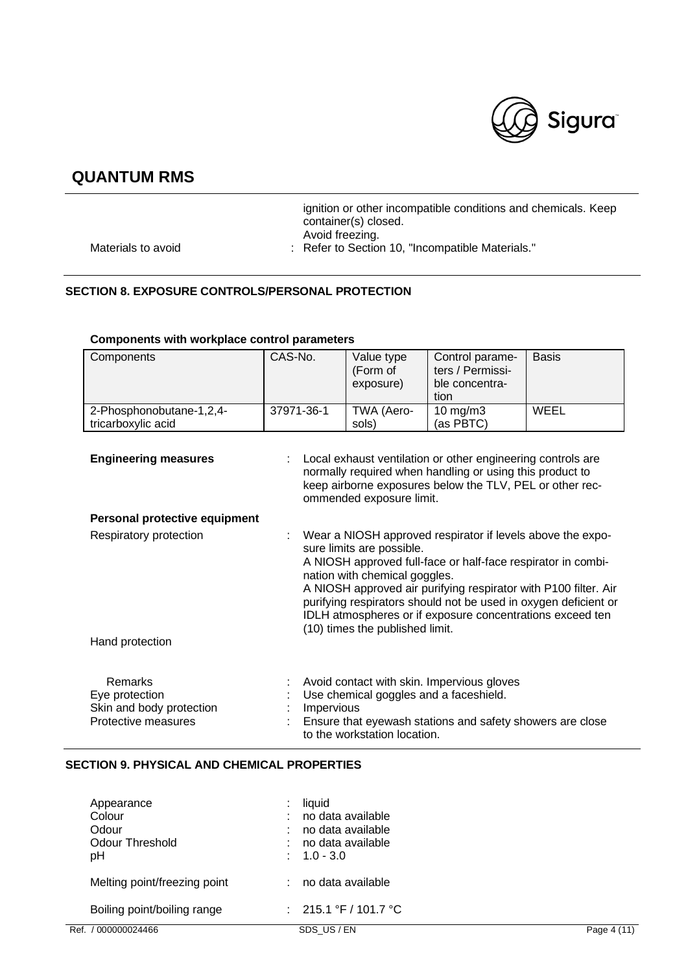

|                    | ignition or other incompatible conditions and chemicals. Keep<br>container(s) closed. |
|--------------------|---------------------------------------------------------------------------------------|
|                    | Avoid freezing.                                                                       |
| Materials to avoid | : Refer to Section 10, "Incompatible Materials."                                      |

## **SECTION 8. EXPOSURE CONTROLS/PERSONAL PROTECTION**

| Components                                                                          | CAS-No.                                                                                                                                                                                                                                                                                                                                                                                                                        | Value type<br>(Form of<br>exposure)                                    | Control parame-<br>ters / Permissi-<br>ble concentra-<br>tion                                           | <b>Basis</b> |
|-------------------------------------------------------------------------------------|--------------------------------------------------------------------------------------------------------------------------------------------------------------------------------------------------------------------------------------------------------------------------------------------------------------------------------------------------------------------------------------------------------------------------------|------------------------------------------------------------------------|---------------------------------------------------------------------------------------------------------|--------------|
| 2-Phosphonobutane-1,2,4-                                                            | 37971-36-1                                                                                                                                                                                                                                                                                                                                                                                                                     | TWA (Aero-                                                             | 10 mg/m3                                                                                                | <b>WEEL</b>  |
| tricarboxylic acid                                                                  |                                                                                                                                                                                                                                                                                                                                                                                                                                | sols)                                                                  | (as PBTC)                                                                                               |              |
| <b>Engineering measures</b>                                                         | Local exhaust ventilation or other engineering controls are<br>normally required when handling or using this product to<br>keep airborne exposures below the TLV, PEL or other rec-<br>ommended exposure limit.                                                                                                                                                                                                                |                                                                        |                                                                                                         |              |
| Personal protective equipment                                                       |                                                                                                                                                                                                                                                                                                                                                                                                                                |                                                                        |                                                                                                         |              |
| Respiratory protection                                                              | Wear a NIOSH approved respirator if levels above the expo-<br>sure limits are possible.<br>A NIOSH approved full-face or half-face respirator in combi-<br>nation with chemical goggles.<br>A NIOSH approved air purifying respirator with P100 filter. Air<br>purifying respirators should not be used in oxygen deficient or<br>IDLH atmospheres or if exposure concentrations exceed ten<br>(10) times the published limit. |                                                                        |                                                                                                         |              |
| Hand protection                                                                     |                                                                                                                                                                                                                                                                                                                                                                                                                                |                                                                        |                                                                                                         |              |
| <b>Remarks</b><br>Eye protection<br>Skin and body protection<br>Protective measures | Impervious                                                                                                                                                                                                                                                                                                                                                                                                                     | Use chemical goggles and a faceshield.<br>to the workstation location. | Avoid contact with skin. Impervious gloves<br>Ensure that eyewash stations and safety showers are close |              |

## **Components with workplace control parameters**

## **SECTION 9. PHYSICAL AND CHEMICAL PROPERTIES**

| Appearance                   | liquid                  |             |
|------------------------------|-------------------------|-------------|
| Colour                       | no data available       |             |
| Odour                        | no data available       |             |
| Odour Threshold              | no data available       |             |
| pH                           | $: 1.0 - 3.0$           |             |
| Melting point/freezing point | no data available       |             |
| Boiling point/boiling range  | : $215.1 °F / 101.7 °C$ |             |
| Ref. / 000000024466          | SDS US/EN               | Page 4 (11) |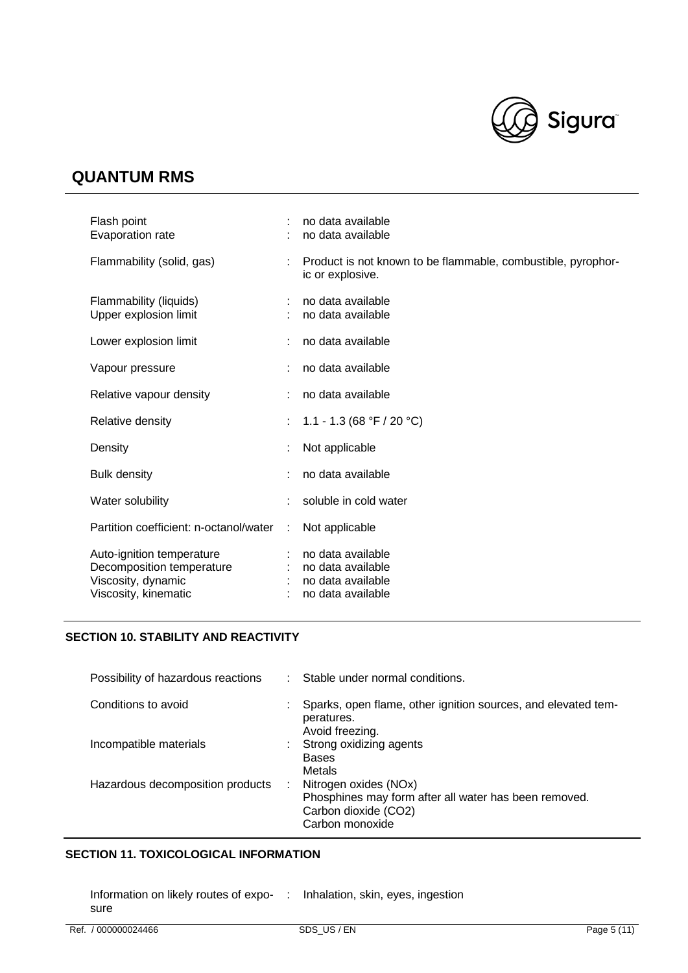

| Flash point<br>Evaporation rate                                                                      |   | no data available<br>no data available                                           |
|------------------------------------------------------------------------------------------------------|---|----------------------------------------------------------------------------------|
| Flammability (solid, gas)                                                                            |   | Product is not known to be flammable, combustible, pyrophor-<br>ic or explosive. |
| Flammability (liquids)<br>Upper explosion limit                                                      |   | no data available<br>no data available                                           |
| Lower explosion limit                                                                                |   | no data available                                                                |
| Vapour pressure                                                                                      | ÷ | no data available                                                                |
| Relative vapour density                                                                              |   | no data available                                                                |
| Relative density                                                                                     |   | 1.1 - 1.3 (68 °F / 20 °C)                                                        |
| Density                                                                                              |   | Not applicable                                                                   |
| <b>Bulk density</b>                                                                                  |   | no data available                                                                |
| Water solubility                                                                                     |   | soluble in cold water                                                            |
| Partition coefficient: n-octanol/water                                                               |   | Not applicable                                                                   |
| Auto-ignition temperature<br>Decomposition temperature<br>Viscosity, dynamic<br>Viscosity, kinematic |   | no data available<br>no data available<br>no data available<br>no data available |

## **SECTION 10. STABILITY AND REACTIVITY**

| Possibility of hazardous reactions |    | Stable under normal conditions.                                                                                           |
|------------------------------------|----|---------------------------------------------------------------------------------------------------------------------------|
| Conditions to avoid                |    | Sparks, open flame, other ignition sources, and elevated tem-<br>peratures.<br>Avoid freezing.                            |
| Incompatible materials             |    | Strong oxidizing agents<br><b>Bases</b><br>Metals                                                                         |
| Hazardous decomposition products   | ÷. | Nitrogen oxides (NOx)<br>Phosphines may form after all water has been removed.<br>Carbon dioxide (CO2)<br>Carbon monoxide |

## **SECTION 11. TOXICOLOGICAL INFORMATION**

Information on likely routes of expo-: Inhalation, skin, eyes, ingestionsure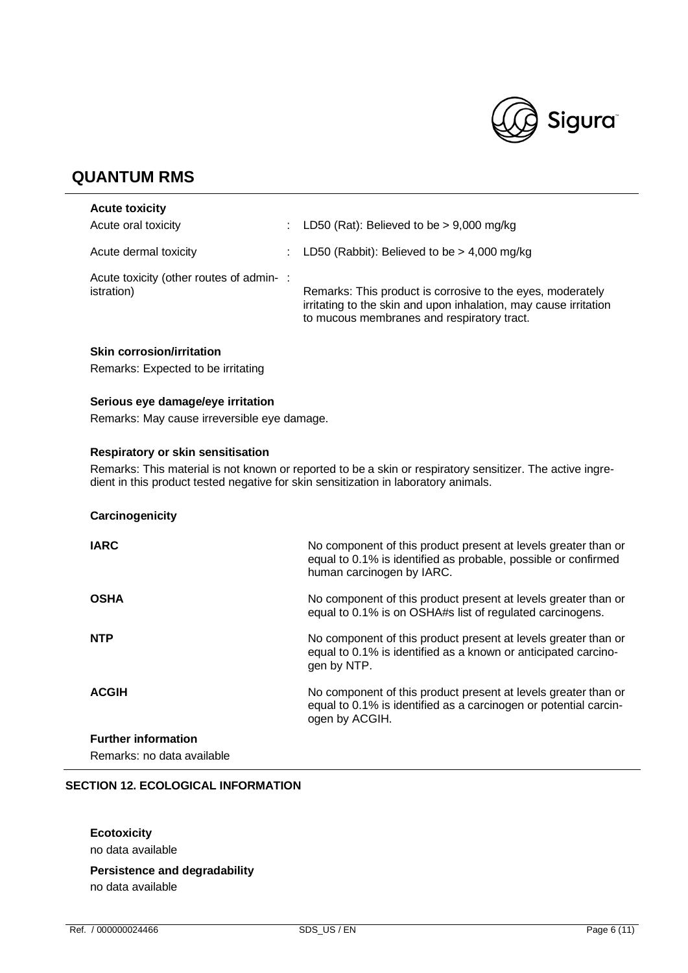

| <b>Acute toxicity</b>                                 |    |                                                                                                                                                                              |
|-------------------------------------------------------|----|------------------------------------------------------------------------------------------------------------------------------------------------------------------------------|
| Acute oral toxicity                                   | t. | LD50 (Rat): Believed to be $> 9,000$ mg/kg                                                                                                                                   |
| Acute dermal toxicity                                 | t. | LD50 (Rabbit): Believed to be $>$ 4,000 mg/kg                                                                                                                                |
| Acute toxicity (other routes of admin-:<br>istration) |    | Remarks: This product is corrosive to the eyes, moderately<br>irritating to the skin and upon inhalation, may cause irritation<br>to mucous membranes and respiratory tract. |

## **Skin corrosion/irritation**

Remarks: Expected to be irritating

## **Serious eye damage/eye irritation**

Remarks: May cause irreversible eye damage.

### **Respiratory or skin sensitisation**

Remarks: This material is not known or reported to be a skin or respiratory sensitizer. The active ingredient in this product tested negative for skin sensitization in laboratory animals.

#### **Carcinogenicity**

| <b>IARC</b>                | No component of this product present at levels greater than or<br>equal to 0.1% is identified as probable, possible or confirmed<br>human carcinogen by IARC. |
|----------------------------|---------------------------------------------------------------------------------------------------------------------------------------------------------------|
| <b>OSHA</b>                | No component of this product present at levels greater than or<br>equal to 0.1% is on OSHA#s list of regulated carcinogens.                                   |
| <b>NTP</b>                 | No component of this product present at levels greater than or<br>equal to 0.1% is identified as a known or anticipated carcino-<br>gen by NTP.               |
| <b>ACGIH</b>               | No component of this product present at levels greater than or<br>equal to 0.1% is identified as a carcinogen or potential carcin-<br>ogen by ACGIH.          |
| <b>Further information</b> |                                                                                                                                                               |
| Remarks: no data available |                                                                                                                                                               |

#### **SECTION 12. ECOLOGICAL INFORMATION**

## **Ecotoxicity**

no data available

# **Persistence and degradability**

no data available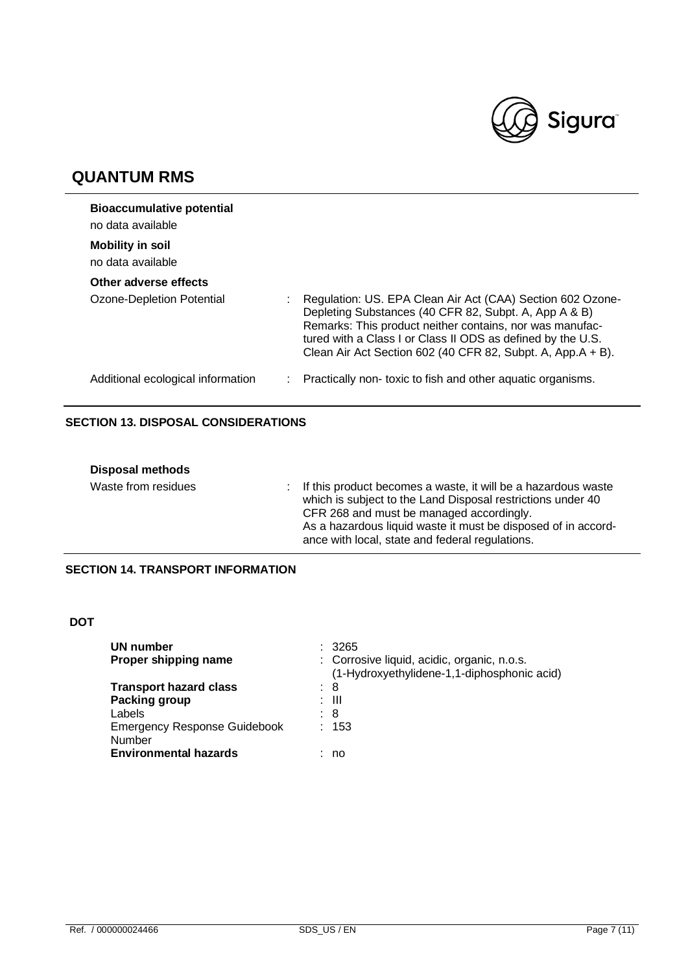

| <b>Bioaccumulative potential</b><br>no data available |                                                                                                                                                                                                                                                                                                               |
|-------------------------------------------------------|---------------------------------------------------------------------------------------------------------------------------------------------------------------------------------------------------------------------------------------------------------------------------------------------------------------|
| <b>Mobility in soil</b><br>no data available          |                                                                                                                                                                                                                                                                                                               |
| Other adverse effects                                 |                                                                                                                                                                                                                                                                                                               |
| Ozone-Depletion Potential                             | Regulation: US. EPA Clean Air Act (CAA) Section 602 Ozone-<br>Depleting Substances (40 CFR 82, Subpt. A, App A & B)<br>Remarks: This product neither contains, nor was manufac-<br>tured with a Class I or Class II ODS as defined by the U.S.<br>Clean Air Act Section 602 (40 CFR 82, Subpt. A, App.A + B). |
| Additional ecological information                     | Practically non-toxic to fish and other aquatic organisms.                                                                                                                                                                                                                                                    |

## **SECTION 13. DISPOSAL CONSIDERATIONS**

| <b>Disposal methods</b> |                                                                                                                                                                                                                                                                                                |
|-------------------------|------------------------------------------------------------------------------------------------------------------------------------------------------------------------------------------------------------------------------------------------------------------------------------------------|
| Waste from residues     | : If this product becomes a waste, it will be a hazardous waste<br>which is subject to the Land Disposal restrictions under 40<br>CFR 268 and must be managed accordingly.<br>As a hazardous liquid waste it must be disposed of in accord-<br>ance with local, state and federal regulations. |

## **SECTION 14. TRANSPORT INFORMATION**

## **DOT**

| UN number<br>Proper shipping name                                             | : 3265<br>: Corrosive liquid, acidic, organic, n.o.s.<br>(1-Hydroxyethylidene-1,1-diphosphonic acid) |
|-------------------------------------------------------------------------------|------------------------------------------------------------------------------------------------------|
| <b>Transport hazard class</b><br>Packing group<br>Labels                      | : 8<br>: III<br>: 8                                                                                  |
| <b>Emergency Response Guidebook</b><br>Number<br><b>Environmental hazards</b> | : 153<br>no                                                                                          |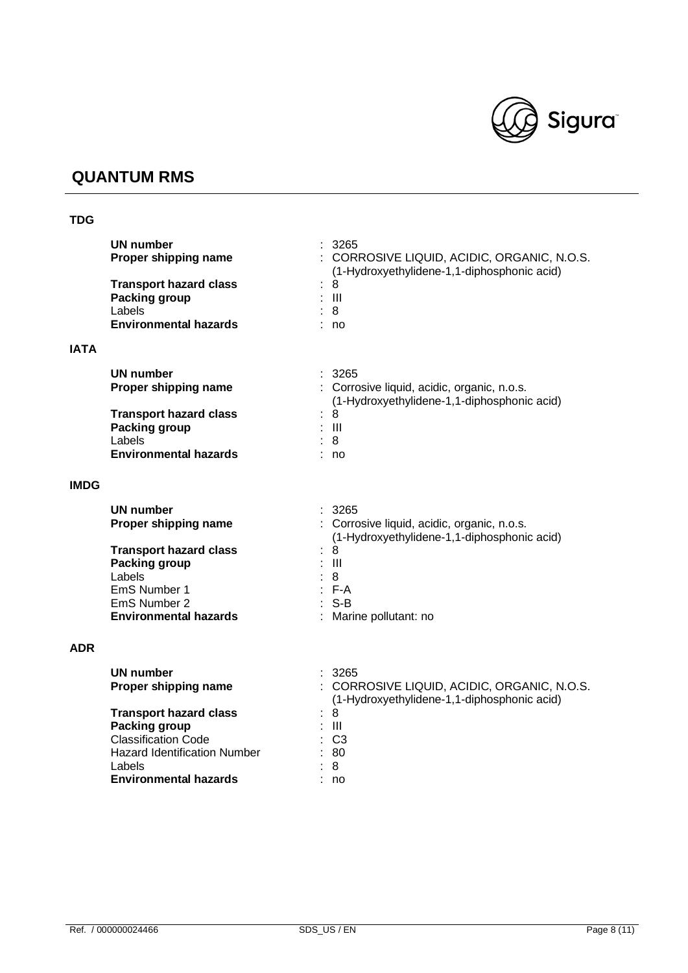

## **TDG**

|             | <b>UN number</b><br>Proper shipping name<br><b>Transport hazard class</b><br><b>Packing group</b><br>Labels<br><b>Environmental hazards</b> | 3265<br>: CORROSIVE LIQUID, ACIDIC, ORGANIC, N.O.S.<br>(1-Hydroxyethylidene-1,1-diphosphonic acid)<br>8<br>$:$ $\mathbb{H}$<br>: 8<br>: no |
|-------------|---------------------------------------------------------------------------------------------------------------------------------------------|--------------------------------------------------------------------------------------------------------------------------------------------|
| <b>IATA</b> |                                                                                                                                             |                                                                                                                                            |
|             | <b>UN number</b><br>Proper shipping name                                                                                                    | 3265<br>: Corrosive liquid, acidic, organic, n.o.s.<br>(1-Hydroxyethylidene-1,1-diphosphonic acid)                                         |
|             | <b>Transport hazard class</b><br>Packing group<br>Labels                                                                                    | 8<br>$:$ $\mathbb{H}$<br>8                                                                                                                 |
|             | <b>Environmental hazards</b>                                                                                                                | : no                                                                                                                                       |
| <b>IMDG</b> |                                                                                                                                             |                                                                                                                                            |
|             | <b>UN number</b><br>Proper shipping name                                                                                                    | : 3265<br>: Corrosive liquid, acidic, organic, n.o.s.<br>(1-Hydroxyethylidene-1,1-diphosphonic acid)                                       |
|             | <b>Transport hazard class</b><br>Packing group<br>Labels                                                                                    | 8<br>$\mathbf{III}$<br>8                                                                                                                   |
|             | EmS Number 1<br>EmS Number 2<br><b>Environmental hazards</b>                                                                                | $: F-A$<br>$: S-B$<br>Marine pollutant: no                                                                                                 |
| <b>ADR</b>  |                                                                                                                                             |                                                                                                                                            |
|             | UN number<br>Proper shipping name                                                                                                           | 3265<br>CORROSIVE LIQUID, ACIDIC, ORGANIC, N.O.S.<br>(1-Hydroxyethylidene-1,1-diphosphonic acid)                                           |
|             | <b>Transport hazard class</b><br><b>Packing group</b><br><b>Classification Code</b>                                                         | 8<br>$\  \ $<br>C <sub>3</sub>                                                                                                             |

Hazard Identification Number : 80<br>Labels : 8 Labels : 8

**Environmental hazards**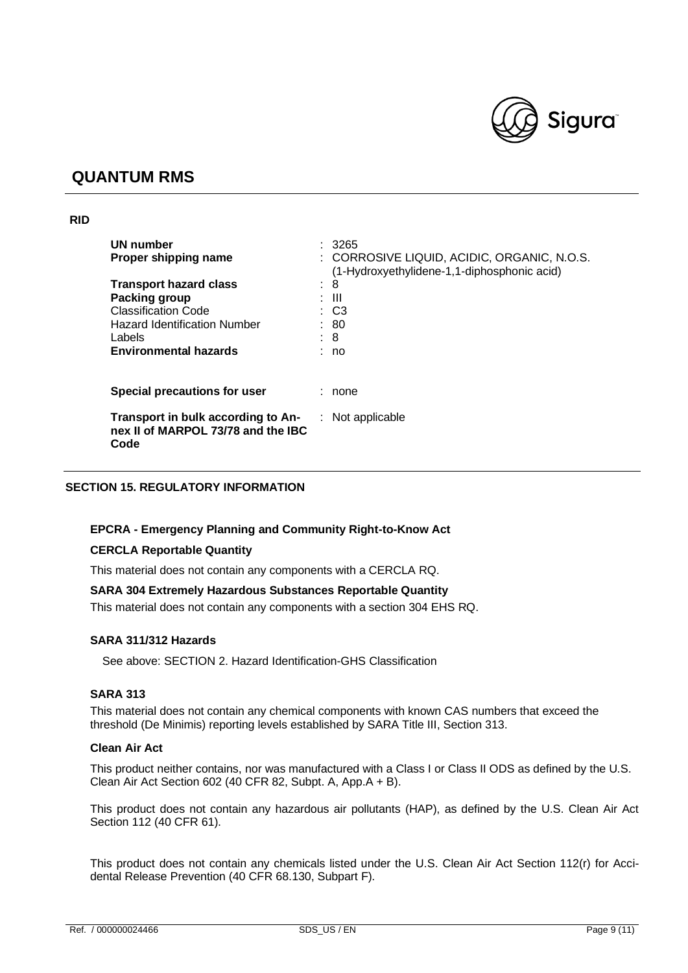

### **RID**

| <b>UN number</b><br>Proper shipping name                                         |   | : 3265<br>: CORROSIVE LIQUID, ACIDIC, ORGANIC, N.O.S.<br>(1-Hydroxyethylidene-1,1-diphosphonic acid) |
|----------------------------------------------------------------------------------|---|------------------------------------------------------------------------------------------------------|
| <b>Transport hazard class</b>                                                    | ÷ | 8                                                                                                    |
| Packing group                                                                    |   | : III                                                                                                |
| <b>Classification Code</b>                                                       |   | $\therefore$ C3                                                                                      |
| Hazard Identification Number                                                     |   | : 80                                                                                                 |
| Labels                                                                           |   | : 8                                                                                                  |
| <b>Environmental hazards</b>                                                     |   | : no                                                                                                 |
| <b>Special precautions for user</b>                                              |   | : none                                                                                               |
| Transport in bulk according to An-<br>nex II of MARPOL 73/78 and the IBC<br>Code |   | $:$ Not applicable                                                                                   |

## **SECTION 15. REGULATORY INFORMATION**

#### **EPCRA - Emergency Planning and Community Right-to-Know Act**

#### **CERCLA Reportable Quantity**

This material does not contain any components with a CERCLA RQ.

#### **SARA 304 Extremely Hazardous Substances Reportable Quantity**

This material does not contain any components with a section 304 EHS RQ.

### **SARA 311/312 Hazards**

See above: SECTION 2. Hazard Identification-GHS Classification

### **SARA 313**

This material does not contain any chemical components with known CAS numbers that exceed the threshold (De Minimis) reporting levels established by SARA Title III, Section 313.

### **Clean Air Act**

This product neither contains, nor was manufactured with a Class I or Class II ODS as defined by the U.S. Clean Air Act Section 602 (40 CFR 82, Subpt. A, App.A + B).

This product does not contain any hazardous air pollutants (HAP), as defined by the U.S. Clean Air Act Section 112 (40 CFR 61).

This product does not contain any chemicals listed under the U.S. Clean Air Act Section 112(r) for Accidental Release Prevention (40 CFR 68.130, Subpart F).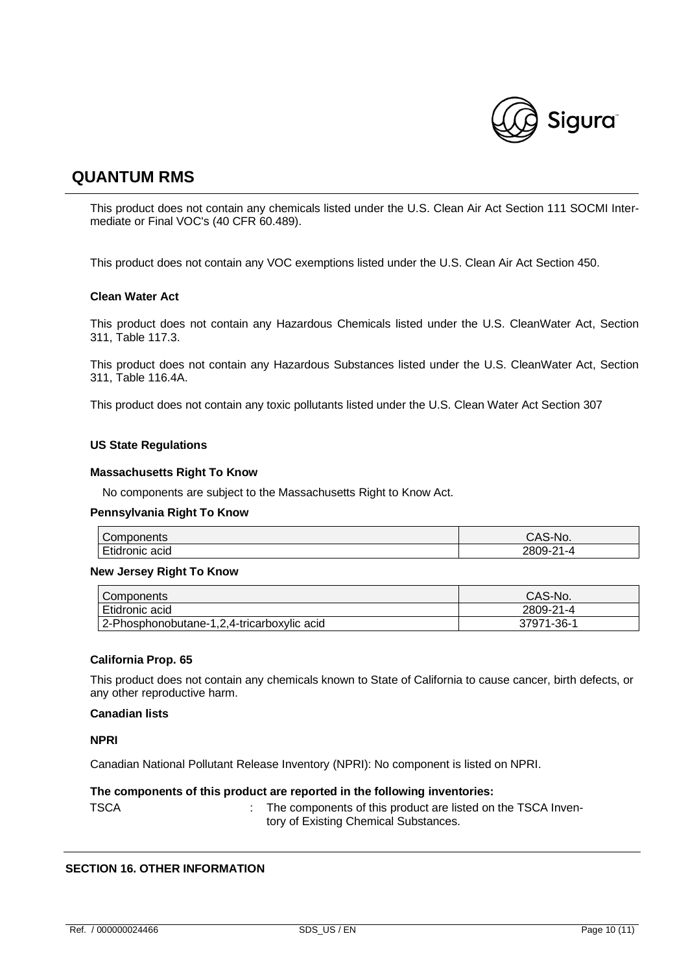

This product does not contain any chemicals listed under the U.S. Clean Air Act Section 111 SOCMI Intermediate or Final VOC's (40 CFR 60.489).

This product does not contain any VOC exemptions listed under the U.S. Clean Air Act Section 450.

#### **Clean Water Act**

This product does not contain any Hazardous Chemicals listed under the U.S. CleanWater Act, Section 311, Table 117.3.

This product does not contain any Hazardous Substances listed under the U.S. CleanWater Act, Section 311, Table 116.4A.

This product does not contain any toxic pollutants listed under the U.S. Clean Water Act Section 307

#### **US State Regulations**

#### **Massachusetts Right To Know**

No components are subject to the Massachusetts Right to Know Act.

#### **Pennsylvania Right To Know**

| $\sim$                    | S-No.                           |
|---------------------------|---------------------------------|
| Components                | Jn∙                             |
| mat.<br>acıd<br>Etidronic | $2809$ -<br>$\sim$<br>$-4$<br>∼ |

#### **New Jersey Right To Know**

| Components                                 | CAS-No.    |
|--------------------------------------------|------------|
| Etidronic acid                             | 2809-21-4  |
| 2-Phosphonobutane-1,2,4-tricarboxylic acid | 37971-36-1 |

#### **California Prop. 65**

This product does not contain any chemicals known to State of California to cause cancer, birth defects, or any other reproductive harm.

#### **Canadian lists**

**NPRI**

Canadian National Pollutant Release Inventory (NPRI): No component is listed on NPRI.

#### **The components of this product are reported in the following inventories:**

TSCA **:** The components of this product are listed on the TSCA Inventory of Existing Chemical Substances.

### **SECTION 16. OTHER INFORMATION**